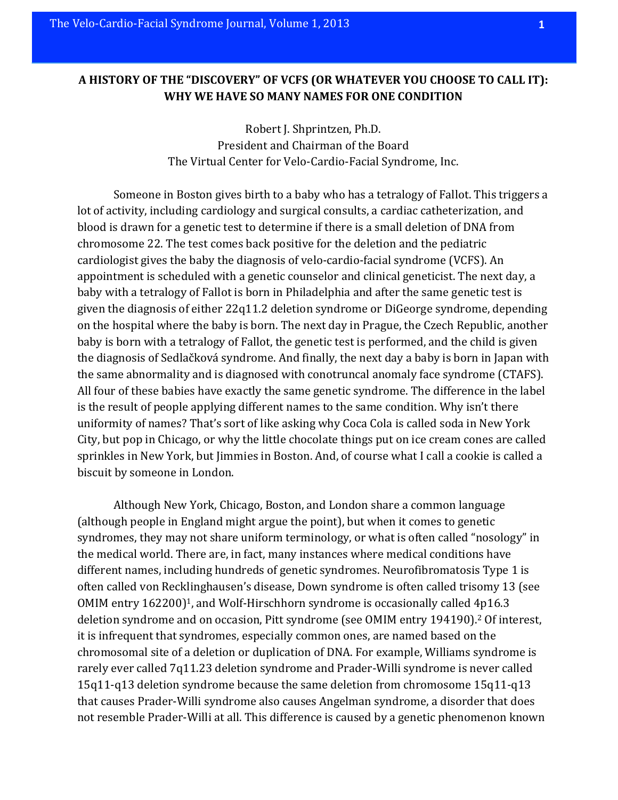## A HISTORY OF THE "DISCOVERY" OF VCFS (OR WHATEVER YOU CHOOSE TO CALL IT): WHY WE HAVE SO MANY NAMES FOR ONE CONDITION

Robert J. Shprintzen, Ph.D. President and Chairman of the Board The Virtual Center for Velo-Cardio-Facial Syndrome, Inc.

Someone in Boston gives birth to a baby who has a tetralogy of Fallot. This triggers a lot of activity, including cardiology and surgical consults, a cardiac catheterization, and blood is drawn for a genetic test to determine if there is a small deletion of DNA from chromosome 22. The test comes back positive for the deletion and the pediatric cardiologist gives the baby the diagnosis of velo-cardio-facial syndrome (VCFS). An appointment is scheduled with a genetic counselor and clinical geneticist. The next day, a baby with a tetralogy of Fallot is born in Philadelphia and after the same genetic test is given the diagnosis of either 22q11.2 deletion syndrome or DiGeorge syndrome, depending on the hospital where the baby is born. The next day in Prague, the Czech Republic, another baby is born with a tetralogy of Fallot, the genetic test is performed, and the child is given the diagnosis of Sedlačková syndrome. And finally, the next day a baby is born in Japan with the same abnormality and is diagnosed with conotruncal anomaly face syndrome (CTAFS). All four of these babies have exactly the same genetic syndrome. The difference in the label is the result of people applying different names to the same condition. Why isn't there uniformity of names? That's sort of like asking why Coca Cola is called soda in New York City, but pop in Chicago, or why the little chocolate things put on ice cream cones are called sprinkles in New York, but Jimmies in Boston. And, of course what I call a cookie is called a biscuit by someone in London.

Although New York, Chicago, Boston, and London share a common language (although people in England might argue the point), but when it comes to genetic syndromes, they may not share uniform terminology, or what is often called "nosology" in the medical world. There are, in fact, many instances where medical conditions have different names, including hundreds of genetic syndromes. Neurofibromatosis Type 1 is often called von Recklinghausen's disease, Down syndrome is often called trisomy 13 (see OMIM entry  $162200$ <sup>1</sup>, and Wolf-Hirschhorn syndrome is occasionally called  $4p16.3$ deletion syndrome and on occasion, Pitt syndrome (see OMIM entry 194190).<sup>2</sup> Of interest, it is infrequent that syndromes, especially common ones, are named based on the chromosomal site of a deletion or duplication of DNA. For example, Williams syndrome is rarely ever called 7q11.23 deletion syndrome and Prader-Willi syndrome is never called  $15q11-q13$  deletion syndrome because the same deletion from chromosome  $15q11-q13$ that causes Prader-Willi syndrome also causes Angelman syndrome, a disorder that does not resemble Prader-Willi at all. This difference is caused by a genetic phenomenon known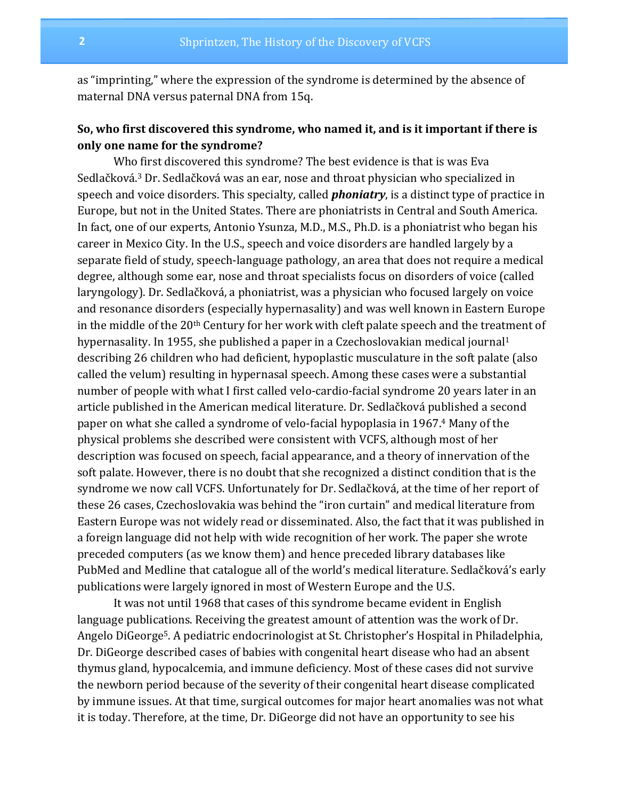as "imprinting," where the expression of the syndrome is determined by the absence of maternal DNA versus paternal DNA from 15q.

# So, who first discovered this syndrome, who named it, and is it important if there is **only one name for the syndrome?**

Who first discovered this syndrome? The best evidence is that is was Eva Sedlačková.<sup>3</sup> Dr. Sedlačková was an ear, nose and throat physician who specialized in speech and voice disorders. This specialty, called **phoniatry**, is a distinct type of practice in Europe, but not in the United States. There are phoniatrists in Central and South America. In fact, one of our experts, Antonio Ysunza, M.D., M.S., Ph.D. is a phoniatrist who began his career in Mexico City. In the U.S., speech and voice disorders are handled largely by a separate field of study, speech-language pathology, an area that does not require a medical degree, although some ear, nose and throat specialists focus on disorders of voice (called laryngology). Dr. Sedlačková, a phoniatrist, was a physician who focused largely on voice and resonance disorders (especially hypernasality) and was well known in Eastern Europe in the middle of the  $20<sup>th</sup>$  Century for her work with cleft palate speech and the treatment of hypernasality. In 1955, she published a paper in a Czechoslovakian medical journal<sup>1</sup> describing 26 children who had deficient, hypoplastic musculature in the soft palate (also called the velum) resulting in hypernasal speech. Among these cases were a substantial number of people with what I first called velo-cardio-facial syndrome 20 years later in an article published in the American medical literature. Dr. Sedlačková published a second paper on what she called a syndrome of velo-facial hypoplasia in 1967.<sup>4</sup> Many of the physical problems she described were consistent with VCFS, although most of her description was focused on speech, facial appearance, and a theory of innervation of the soft palate. However, there is no doubt that she recognized a distinct condition that is the syndrome we now call VCFS. Unfortunately for Dr. Sedlačková, at the time of her report of these 26 cases, Czechoslovakia was behind the "iron curtain" and medical literature from Eastern Europe was not widely read or disseminated. Also, the fact that it was published in a foreign language did not help with wide recognition of her work. The paper she wrote preceded computers (as we know them) and hence preceded library databases like PubMed and Medline that catalogue all of the world's medical literature. Sedlačková's early publications were largely ignored in most of Western Europe and the U.S.

It was not until 1968 that cases of this syndrome became evident in English language publications. Receiving the greatest amount of attention was the work of Dr. Angelo DiGeorge<sup>5</sup>. A pediatric endocrinologist at St. Christopher's Hospital in Philadelphia, Dr. Digeorge described cases of babies with congenital heart disease who had an absent thymus gland, hypocalcemia, and immune deficiency. Most of these cases did not survive the newborn period because of the severity of their congenital heart disease complicated by immune issues. At that time, surgical outcomes for major heart anomalies was not what it is today. Therefore, at the time, Dr. DiGeorge did not have an opportunity to see his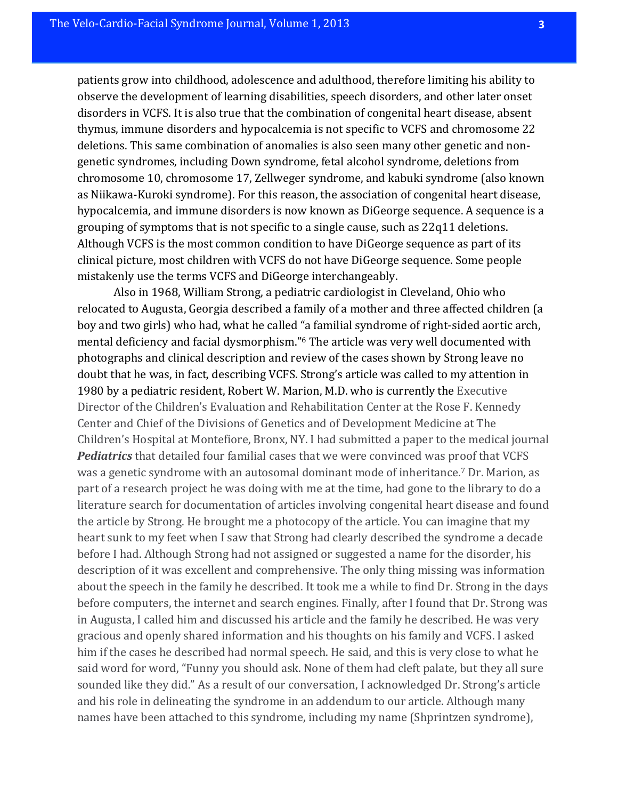patients grow into childhood, adolescence and adulthood, therefore limiting his ability to observe the development of learning disabilities, speech disorders, and other later onset disorders in VCFS. It is also true that the combination of congenital heart disease, absent thymus, immune disorders and hypocalcemia is not specific to VCFS and chromosome 22 deletions. This same combination of anomalies is also seen many other genetic and nongenetic syndromes, including Down syndrome, fetal alcohol syndrome, deletions from chromosome 10, chromosome 17, Zellweger syndrome, and kabuki syndrome (also known as Niikawa-Kuroki syndrome). For this reason, the association of congenital heart disease, hypocalcemia, and immune disorders is now known as DiGeorge sequence. A sequence is a grouping of symptoms that is not specific to a single cause, such as  $22q11$  deletions. Although VCFS is the most common condition to have DiGeorge sequence as part of its clinical picture, most children with VCFS do not have DiGeorge sequence. Some people mistakenly use the terms VCFS and DiGeorge interchangeably.

Also in 1968, William Strong, a pediatric cardiologist in Cleveland, Ohio who relocated to Augusta, Georgia described a family of a mother and three affected children (a boy and two girls) who had, what he called "a familial syndrome of right-sided aortic arch, mental deficiency and facial dysmorphism."<sup>6</sup> The article was very well documented with photographs and clinical description and review of the cases shown by Strong leave no doubt that he was, in fact, describing VCFS. Strong's article was called to my attention in 1980 by a pediatric resident, Robert W. Marion, M.D. who is currently the Executive Director of the Children's Evaluation and Rehabilitation Center at the Rose F. Kennedy Center and Chief of the Divisions of Genetics and of Development Medicine at The Children's Hospital at Montefiore, Bronx, NY. I had submitted a paper to the medical journal **Pediatrics** that detailed four familial cases that we were convinced was proof that VCFS was a genetic syndrome with an autosomal dominant mode of inheritance.<sup>7</sup> Dr. Marion, as part of a research project he was doing with me at the time, had gone to the library to do a literature search for documentation of articles involving congenital heart disease and found the article by Strong. He brought me a photocopy of the article. You can imagine that my heart sunk to my feet when I saw that Strong had clearly described the syndrome a decade before I had. Although Strong had not assigned or suggested a name for the disorder, his description of it was excellent and comprehensive. The only thing missing was information about the speech in the family he described. It took me a while to find Dr. Strong in the days before computers, the internet and search engines. Finally, after I found that Dr. Strong was in Augusta, I called him and discussed his article and the family he described. He was very gracious and openly shared information and his thoughts on his family and VCFS. I asked him if the cases he described had normal speech. He said, and this is very close to what he said word for word, "Funny you should ask. None of them had cleft palate, but they all sure sounded like they did." As a result of our conversation, I acknowledged Dr. Strong's article and his role in delineating the syndrome in an addendum to our article. Although many names have been attached to this syndrome, including my name (Shprintzen syndrome),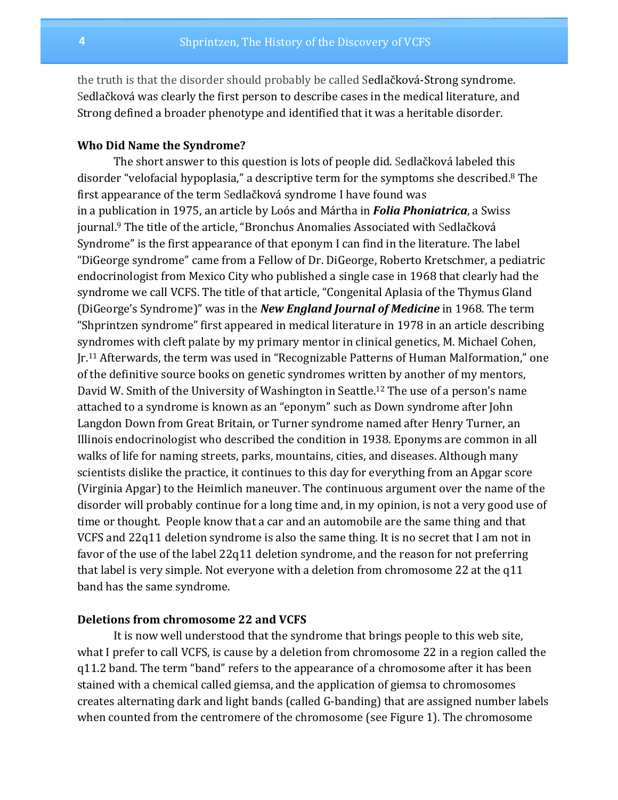the truth is that the disorder should probably be called Sedlačková-Strong syndrome. Sedlačková was clearly the first person to describe cases in the medical literature, and Strong defined a broader phenotype and identified that it was a heritable disorder.

### **Who Did Name the Syndrome?**

The short answer to this question is lots of people did. Sedlačková labeled this disorder "velofacial hypoplasia," a descriptive term for the symptoms she described.<sup>8</sup> The first appearance of the term Sedlačková syndrome I have found was in a publication in 1975, an article by Loós and Mártha in **Folia Phoniatrica**, a Swiss journal.<sup>9</sup> The title of the article, "Bronchus Anomalies Associated with Sedlačková Syndrome" is the first appearance of that eponym I can find in the literature. The label "DiGeorge syndrome" came from a Fellow of Dr. DiGeorge, Roberto Kretschmer, a pediatric endocrinologist from Mexico City who published a single case in 1968 that clearly had the syndrome we call VCFS. The title of that article, "Congenital Aplasia of the Thymus Gland (DiGeorge's Syndrome)" was in the **New England Journal of Medicine** in 1968. The term "Shprintzen syndrome" first appeared in medical literature in 1978 in an article describing syndromes with cleft palate by my primary mentor in clinical genetics, M. Michael Cohen,  $Ir.<sup>11</sup>$  Afterwards, the term was used in "Recognizable Patterns of Human Malformation," one of the definitive source books on genetic syndromes written by another of my mentors, David W. Smith of the University of Washington in Seattle.<sup>12</sup> The use of a person's name attached to a syndrome is known as an "eponym" such as Down syndrome after John Langdon Down from Great Britain, or Turner syndrome named after Henry Turner, an Illinois endocrinologist who described the condition in 1938. Eponyms are common in all walks of life for naming streets, parks, mountains, cities, and diseases. Although many scientists dislike the practice, it continues to this day for everything from an Apgar score (Virginia Apgar) to the Heimlich maneuver. The continuous argument over the name of the disorder will probably continue for a long time and, in my opinion, is not a very good use of time or thought. People know that a car and an automobile are the same thing and that VCFS and 22q11 deletion syndrome is also the same thing. It is no secret that I am not in favor of the use of the label  $22q11$  deletion syndrome, and the reason for not preferring that label is very simple. Not everyone with a deletion from chromosome 22 at the  $q11$ band has the same syndrome.

#### **Deletions from chromosome 22 and VCFS**

It is now well understood that the syndrome that brings people to this web site, what I prefer to call VCFS, is cause by a deletion from chromosome 22 in a region called the q11.2 band. The term "band" refers to the appearance of a chromosome after it has been stained with a chemical called giemsa, and the application of giemsa to chromosomes creates alternating dark and light bands (called G-banding) that are assigned number labels when counted from the centromere of the chromosome (see Figure 1). The chromosome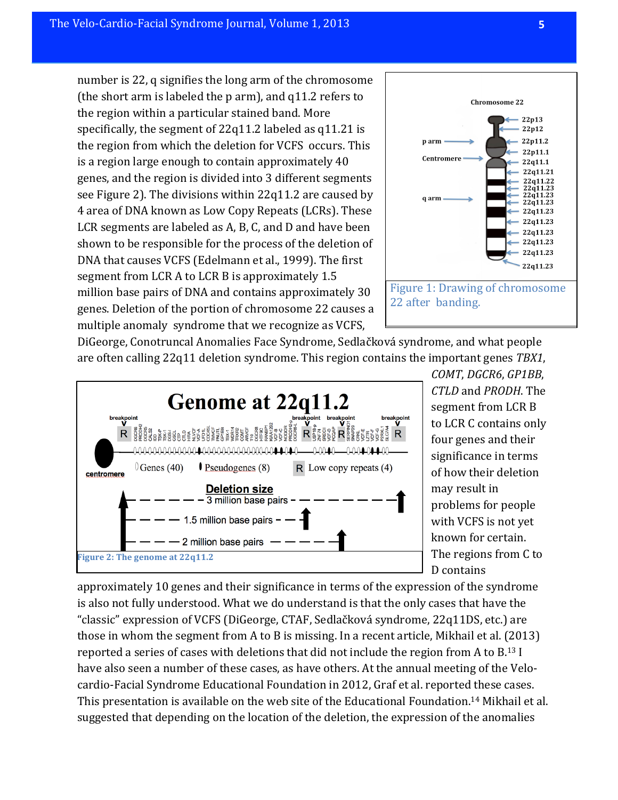number is 22, q signifies the long arm of the chromosome (the short arm is labeled the  $p$  arm), and  $q11.2$  refers to the region within a particular stained band. More specifically, the segment of  $22q11.2$  labeled as  $q11.21$  is the region from which the deletion for VCFS occurs. This is a region large enough to contain approximately 40 genes, and the region is divided into 3 different segments see Figure 2). The divisions within  $22q11.2$  are caused by 4 area of DNA known as Low Copy Repeats (LCRs). These LCR segments are labeled as A, B, C, and D and have been shown to be responsible for the process of the deletion of DNA that causes VCFS (Edelmann et al., 1999). The first segment from LCR A to LCR B is approximately  $1.5$ million base pairs of DNA and contains approximately 30 genes. Deletion of the portion of chromosome 22 causes a multiple anomaly syndrome that we recognize as VCFS,



DiGeorge, Conotruncal Anomalies Face Syndrome, Sedlačková syndrome, and what people are often calling 22q11 deletion syndrome. This region contains the important genes *TBX1*,



*COMT*, *DGCR6*, *GP1BB*, *CTLD* and *PRODH*. The segment from LCR B to LCR C contains only four genes and their significance in terms of how their deletion may result in problems for people with VCFS is not yet known for certain. The regions from C to D contains

approximately 10 genes and their significance in terms of the expression of the syndrome is also not fully understood. What we do understand is that the only cases that have the "classic" expression of VCFS (DiGeorge, CTAF, Sedlačková syndrome, 22q11DS, etc.) are those in whom the segment from A to B is missing. In a recent article, Mikhail et al.  $(2013)$ reported a series of cases with deletions that did not include the region from A to  $B^{13}$  I have also seen a number of these cases, as have others. At the annual meeting of the Velocardio-Facial Syndrome Educational Foundation in 2012, Graf et al. reported these cases. This presentation is available on the web site of the Educational Foundation.<sup>14</sup> Mikhail et al. suggested that depending on the location of the deletion, the expression of the anomalies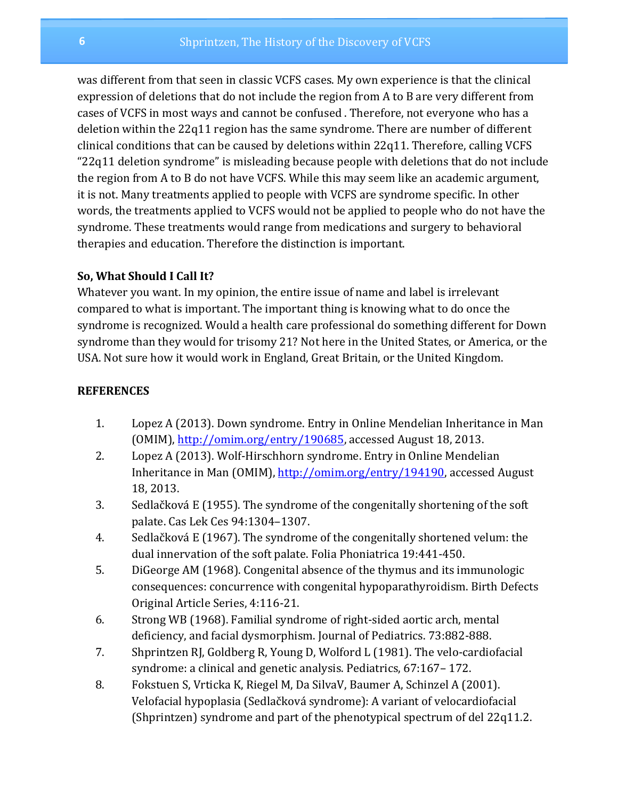was different from that seen in classic VCFS cases. My own experience is that the clinical expression of deletions that do not include the region from A to B are very different from cases of VCFS in most ways and cannot be confused . Therefore, not everyone who has a deletion within the  $22q11$  region has the same syndrome. There are number of different clinical conditions that can be caused by deletions within 22q11. Therefore, calling VCFS "22q11 deletion syndrome" is misleading because people with deletions that do not include the region from A to B do not have VCFS. While this may seem like an academic argument, it is not. Many treatments applied to people with VCFS are syndrome specific. In other words, the treatments applied to VCFS would not be applied to people who do not have the syndrome. These treatments would range from medications and surgery to behavioral therapies and education. Therefore the distinction is important.

## **So, What Should I Call It?**

Whatever you want. In my opinion, the entire issue of name and label is irrelevant compared to what is important. The important thing is knowing what to do once the syndrome is recognized. Would a health care professional do something different for Down syndrome than they would for trisomy 21? Not here in the United States, or America, or the USA. Not sure how it would work in England, Great Britain, or the United Kingdom.

## **REFERENCES**

- 1. Lopez A (2013). Down syndrome. Entry in Online Mendelian Inheritance in Man  $(OMIM)$ , http://omim.org/entry/190685, accessed August 18, 2013.
- 2. Lopez A (2013). Wolf-Hirschhorn syndrome. Entry in Online Mendelian Inheritance in Man (OMIM), http://omim.org/entry/194190, accessed August 18, 2013.
- 3. Sedlačková E (1955). The syndrome of the congenitally shortening of the soft palate. Cas Lek Ces 94:1304–1307.
- 4. Sedlačková E (1967). The syndrome of the congenitally shortened velum: the dual innervation of the soft palate. Folia Phoniatrica 19:441-450.
- 5. DiGeorge AM (1968). Congenital absence of the thymus and its immunologic consequences: concurrence with congenital hypoparathyroidism. Birth Defects Original Article Series, 4:116-21.
- 6. Strong WB (1968). Familial syndrome of right-sided aortic arch, mental deficiency, and facial dysmorphism. Journal of Pediatrics. 73:882-888.
- 7. Shprintzen RJ, Goldberg R, Young D, Wolford L (1981). The velo-cardiofacial syndrome: a clinical and genetic analysis. Pediatrics, 67:167–172.
- 8. Fokstuen S, Vrticka K, Riegel M, Da SilvaV, Baumer A, Schinzel A (2001). Velofacial hypoplasia (Sedlačková syndrome): A variant of velocardiofacial (Shprintzen) syndrome and part of the phenotypical spectrum of del  $22q11.2$ .